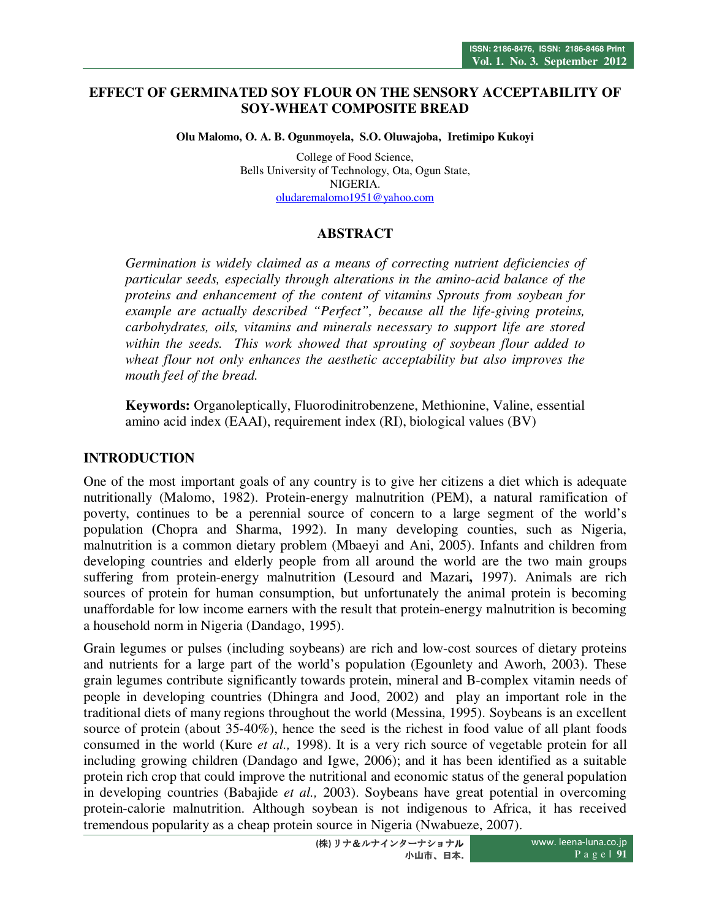#### **EFFECT OF GERMINATED SOY FLOUR ON THE SENSORY ACCEPTABILITY OF SOY-WHEAT COMPOSITE BREAD**

**Olu Malomo, O. A. B. Ogunmoyela, S.O. Oluwajoba, Iretimipo Kukoyi** 

College of Food Science, Bells University of Technology, Ota, Ogun State, NIGERIA. oludaremalomo1951@yahoo.com

# **ABSTRACT**

*Germination is widely claimed as a means of correcting nutrient deficiencies of particular seeds, especially through alterations in the amino-acid balance of the proteins and enhancement of the content of vitamins Sprouts from soybean for example are actually described "Perfect", because all the life-giving proteins, carbohydrates, oils, vitamins and minerals necessary to support life are stored within the seeds. This work showed that sprouting of soybean flour added to wheat flour not only enhances the aesthetic acceptability but also improves the mouth feel of the bread.* 

**Keywords:** Organoleptically, Fluorodinitrobenzene, Methionine, Valine, essential amino acid index (EAAI), requirement index (RI), biological values (BV)

### **INTRODUCTION**

One of the most important goals of any country is to give her citizens a diet which is adequate nutritionally (Malomo, 1982). Protein-energy malnutrition (PEM), a natural ramification of poverty, continues to be a perennial source of concern to a large segment of the world's population **(**Chopra and Sharma, 1992). In many developing counties, such as Nigeria, malnutrition is a common dietary problem (Mbaeyi and Ani, 2005). Infants and children from developing countries and elderly people from all around the world are the two main groups suffering from protein-energy malnutrition **(**Lesourd and Mazari**,** 1997). Animals are rich sources of protein for human consumption, but unfortunately the animal protein is becoming unaffordable for low income earners with the result that protein-energy malnutrition is becoming a household norm in Nigeria (Dandago, 1995).

Grain legumes or pulses (including soybeans) are rich and low-cost sources of dietary proteins and nutrients for a large part of the world's population (Egounlety and Aworh, 2003). These grain legumes contribute significantly towards protein, mineral and B-complex vitamin needs of people in developing countries (Dhingra and Jood, 2002) and play an important role in the traditional diets of many regions throughout the world (Messina, 1995). Soybeans is an excellent source of protein (about 35-40%), hence the seed is the richest in food value of all plant foods consumed in the world (Kure *et al.,* 1998). It is a very rich source of vegetable protein for all including growing children (Dandago and Igwe, 2006); and it has been identified as a suitable protein rich crop that could improve the nutritional and economic status of the general population in developing countries (Babajide *et al.,* 2003). Soybeans have great potential in overcoming protein-calorie malnutrition. Although soybean is not indigenous to Africa, it has received tremendous popularity as a cheap protein source in Nigeria (Nwabueze, 2007).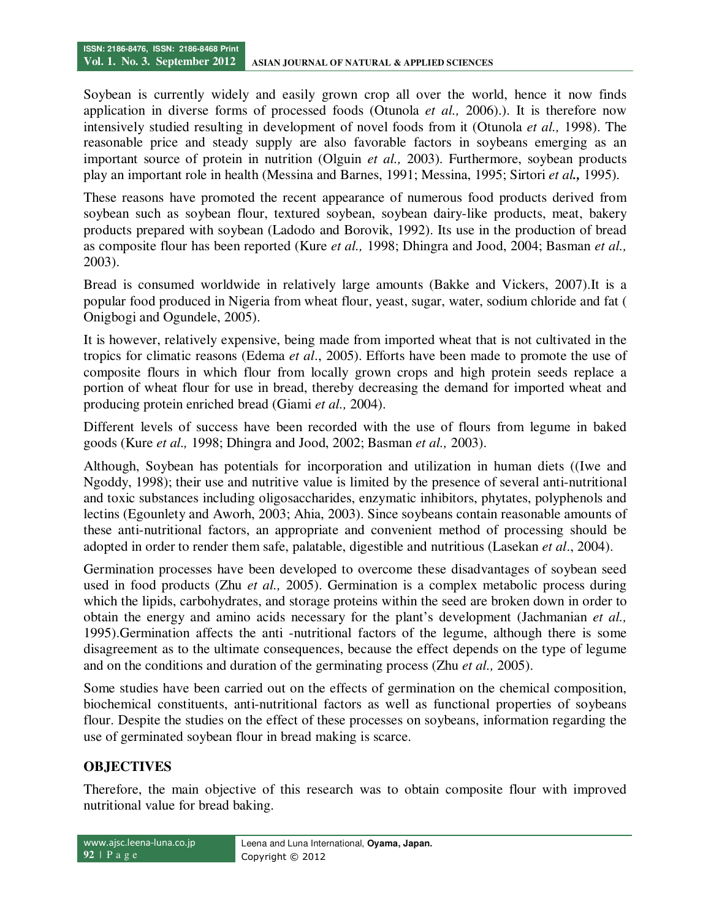Soybean is currently widely and easily grown crop all over the world, hence it now finds application in diverse forms of processed foods (Otunola *et al.,* 2006).). It is therefore now intensively studied resulting in development of novel foods from it (Otunola *et al.,* 1998). The reasonable price and steady supply are also favorable factors in soybeans emerging as an important source of protein in nutrition (Olguin *et al.,* 2003). Furthermore, soybean products play an important role in health (Messina and Barnes, 1991; Messina, 1995; Sirtori *et al.,* 1995).

These reasons have promoted the recent appearance of numerous food products derived from soybean such as soybean flour, textured soybean, soybean dairy-like products, meat, bakery products prepared with soybean (Ladodo and Borovik, 1992). Its use in the production of bread as composite flour has been reported (Kure *et al.,* 1998; Dhingra and Jood, 2004; Basman *et al.,* 2003).

Bread is consumed worldwide in relatively large amounts (Bakke and Vickers, 2007).It is a popular food produced in Nigeria from wheat flour, yeast, sugar, water, sodium chloride and fat ( Onigbogi and Ogundele, 2005).

It is however, relatively expensive, being made from imported wheat that is not cultivated in the tropics for climatic reasons (Edema *et al*., 2005). Efforts have been made to promote the use of composite flours in which flour from locally grown crops and high protein seeds replace a portion of wheat flour for use in bread, thereby decreasing the demand for imported wheat and producing protein enriched bread (Giami *et al.,* 2004).

Different levels of success have been recorded with the use of flours from legume in baked goods (Kure *et al.,* 1998; Dhingra and Jood, 2002; Basman *et al.,* 2003).

Although, Soybean has potentials for incorporation and utilization in human diets ((Iwe and Ngoddy, 1998); their use and nutritive value is limited by the presence of several anti-nutritional and toxic substances including oligosaccharides, enzymatic inhibitors, phytates, polyphenols and lectins (Egounlety and Aworh, 2003; Ahia, 2003). Since soybeans contain reasonable amounts of these anti-nutritional factors, an appropriate and convenient method of processing should be adopted in order to render them safe, palatable, digestible and nutritious (Lasekan *et al*., 2004).

Germination processes have been developed to overcome these disadvantages of soybean seed used in food products (Zhu *et al.,* 2005). Germination is a complex metabolic process during which the lipids, carbohydrates, and storage proteins within the seed are broken down in order to obtain the energy and amino acids necessary for the plant's development (Jachmanian *et al.,* 1995).Germination affects the anti -nutritional factors of the legume, although there is some disagreement as to the ultimate consequences, because the effect depends on the type of legume and on the conditions and duration of the germinating process (Zhu *et al.,* 2005).

Some studies have been carried out on the effects of germination on the chemical composition, biochemical constituents, anti-nutritional factors as well as functional properties of soybeans flour. Despite the studies on the effect of these processes on soybeans, information regarding the use of germinated soybean flour in bread making is scarce.

# **OBJECTIVES**

Therefore, the main objective of this research was to obtain composite flour with improved nutritional value for bread baking.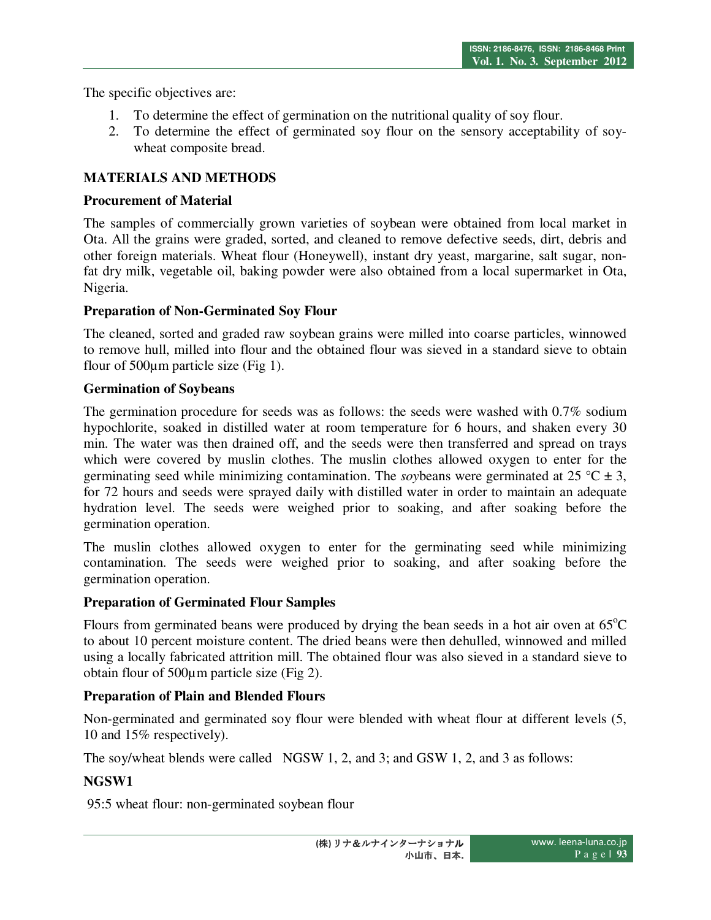The specific objectives are:

- 1. To determine the effect of germination on the nutritional quality of soy flour.
- 2. To determine the effect of germinated soy flour on the sensory acceptability of soywheat composite bread.

# **MATERIALS AND METHODS**

### **Procurement of Material**

The samples of commercially grown varieties of soybean were obtained from local market in Ota. All the grains were graded, sorted, and cleaned to remove defective seeds, dirt, debris and other foreign materials. Wheat flour (Honeywell), instant dry yeast, margarine, salt sugar, nonfat dry milk, vegetable oil, baking powder were also obtained from a local supermarket in Ota, Nigeria.

### **Preparation of Non-Germinated Soy Flour**

The cleaned, sorted and graded raw soybean grains were milled into coarse particles, winnowed to remove hull, milled into flour and the obtained flour was sieved in a standard sieve to obtain flour of 500µm particle size (Fig 1).

### **Germination of Soybeans**

The germination procedure for seeds was as follows: the seeds were washed with 0.7% sodium hypochlorite, soaked in distilled water at room temperature for 6 hours, and shaken every 30 min. The water was then drained off, and the seeds were then transferred and spread on trays which were covered by muslin clothes. The muslin clothes allowed oxygen to enter for the germinating seed while minimizing contamination. The *so* vbeans were germinated at 25 °C  $\pm$  3, for 72 hours and seeds were sprayed daily with distilled water in order to maintain an adequate hydration level. The seeds were weighed prior to soaking, and after soaking before the germination operation.

The muslin clothes allowed oxygen to enter for the germinating seed while minimizing contamination. The seeds were weighed prior to soaking, and after soaking before the germination operation.

# **Preparation of Germinated Flour Samples**

Flours from germinated beans were produced by drying the bean seeds in a hot air oven at  $65^{\circ}$ C to about 10 percent moisture content. The dried beans were then dehulled, winnowed and milled using a locally fabricated attrition mill. The obtained flour was also sieved in a standard sieve to obtain flour of 500µm particle size (Fig 2).

# **Preparation of Plain and Blended Flours**

Non-germinated and germinated soy flour were blended with wheat flour at different levels (5, 10 and 15% respectively).

The soy/wheat blends were called NGSW 1, 2, and 3; and GSW 1, 2, and 3 as follows:

# **NGSW1**

95:5 wheat flour: non-germinated soybean flour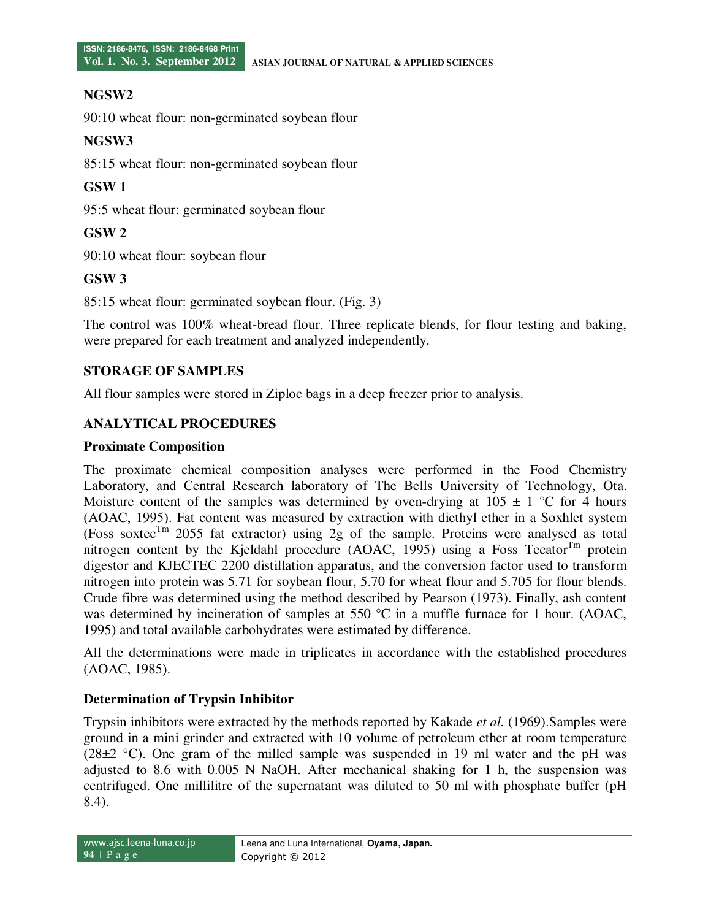#### **NGSW2**

90:10 wheat flour: non-germinated soybean flour

#### **NGSW3**

85:15 wheat flour: non-germinated soybean flour

#### **GSW 1**

95:5 wheat flour: germinated soybean flour

### **GSW 2**

90:10 wheat flour: soybean flour

### **GSW 3**

85:15 wheat flour: germinated soybean flour. (Fig. 3)

The control was 100% wheat-bread flour. Three replicate blends, for flour testing and baking, were prepared for each treatment and analyzed independently.

### **STORAGE OF SAMPLES**

All flour samples were stored in Ziploc bags in a deep freezer prior to analysis.

### **ANALYTICAL PROCEDURES**

#### **Proximate Composition**

The proximate chemical composition analyses were performed in the Food Chemistry Laboratory, and Central Research laboratory of The Bells University of Technology, Ota. Moisture content of the samples was determined by oven-drying at  $105 \pm 1$  °C for 4 hours (AOAC, 1995). Fat content was measured by extraction with diethyl ether in a Soxhlet system (Foss soxtec<sup>Tm</sup> 2055 fat extractor) using 2g of the sample. Proteins were analysed as total nitrogen content by the Kjeldahl procedure (AOAC, 1995) using a Foss Tecator $T<sup>m</sup>$  protein digestor and KJECTEC 2200 distillation apparatus, and the conversion factor used to transform nitrogen into protein was 5.71 for soybean flour, 5.70 for wheat flour and 5.705 for flour blends. Crude fibre was determined using the method described by Pearson (1973). Finally, ash content was determined by incineration of samples at 550  $\degree$ C in a muffle furnace for 1 hour. (AOAC, 1995) and total available carbohydrates were estimated by difference.

All the determinations were made in triplicates in accordance with the established procedures (AOAC, 1985).

#### **Determination of Trypsin Inhibitor**

Trypsin inhibitors were extracted by the methods reported by Kakade *et al.* (1969).Samples were ground in a mini grinder and extracted with 10 volume of petroleum ether at room temperature (28±2 °C). One gram of the milled sample was suspended in 19 ml water and the pH was adjusted to 8.6 with 0.005 N NaOH. After mechanical shaking for 1 h, the suspension was centrifuged. One millilitre of the supernatant was diluted to 50 ml with phosphate buffer (pH 8.4).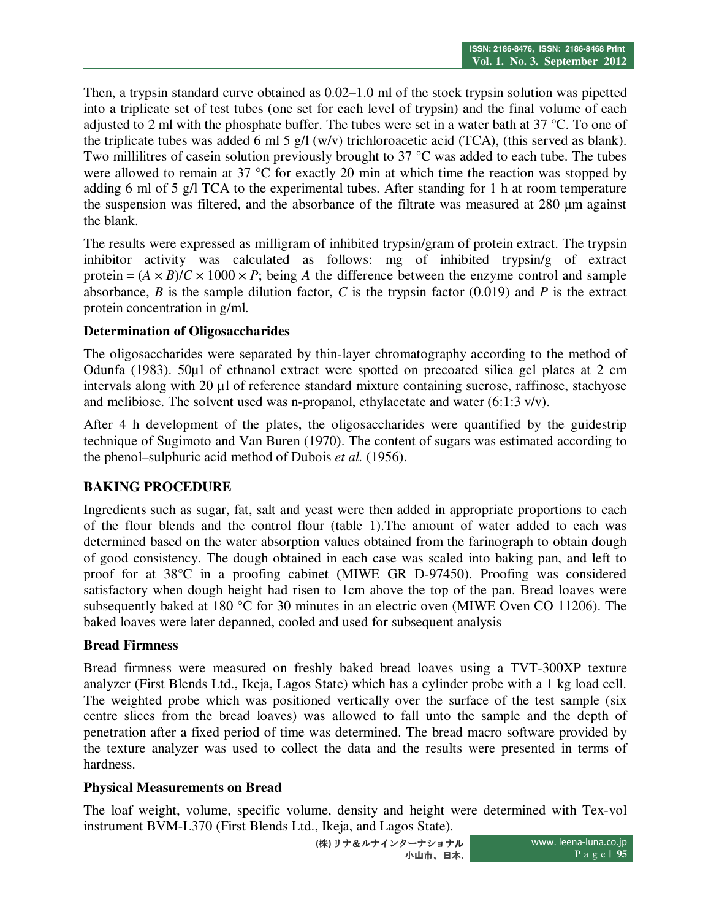Then, a trypsin standard curve obtained as 0.02–1.0 ml of the stock trypsin solution was pipetted into a triplicate set of test tubes (one set for each level of trypsin) and the final volume of each adjusted to 2 ml with the phosphate buffer. The tubes were set in a water bath at 37 °C. To one of the triplicate tubes was added 6 ml 5 g/l (w/v) trichloroacetic acid (TCA), (this served as blank). Two millilitres of casein solution previously brought to 37 °C was added to each tube. The tubes were allowed to remain at 37 °C for exactly 20 min at which time the reaction was stopped by adding 6 ml of 5 g/l TCA to the experimental tubes. After standing for 1 h at room temperature the suspension was filtered, and the absorbance of the filtrate was measured at 280 µm against the blank.

The results were expressed as milligram of inhibited trypsin/gram of protein extract. The trypsin inhibitor activity was calculated as follows: mg of inhibited trypsin/g of extract protein =  $(A \times B)/C \times 1000 \times P$ ; being *A* the difference between the enzyme control and sample absorbance, *B* is the sample dilution factor, *C* is the trypsin factor (0.019) and *P* is the extract protein concentration in g/ml.

### **Determination of Oligosaccharides**

The oligosaccharides were separated by thin-layer chromatography according to the method of Odunfa (1983). 50µl of ethnanol extract were spotted on precoated silica gel plates at 2 cm intervals along with 20 µl of reference standard mixture containing sucrose, raffinose, stachyose and melibiose. The solvent used was n-propanol, ethylacetate and water (6:1:3 v/v).

After 4 h development of the plates, the oligosaccharides were quantified by the guidestrip technique of Sugimoto and Van Buren (1970). The content of sugars was estimated according to the phenol–sulphuric acid method of Dubois *et al.* (1956).

# **BAKING PROCEDURE**

Ingredients such as sugar, fat, salt and yeast were then added in appropriate proportions to each of the flour blends and the control flour (table 1).The amount of water added to each was determined based on the water absorption values obtained from the farinograph to obtain dough of good consistency. The dough obtained in each case was scaled into baking pan, and left to proof for at 38°C in a proofing cabinet (MIWE GR D-97450). Proofing was considered satisfactory when dough height had risen to 1cm above the top of the pan. Bread loaves were subsequently baked at 180 °C for 30 minutes in an electric oven (MIWE Oven CO 11206). The baked loaves were later depanned, cooled and used for subsequent analysis

# **Bread Firmness**

Bread firmness were measured on freshly baked bread loaves using a TVT-300XP texture analyzer (First Blends Ltd., Ikeja, Lagos State) which has a cylinder probe with a 1 kg load cell. The weighted probe which was positioned vertically over the surface of the test sample (six centre slices from the bread loaves) was allowed to fall unto the sample and the depth of penetration after a fixed period of time was determined. The bread macro software provided by the texture analyzer was used to collect the data and the results were presented in terms of hardness.

#### **Physical Measurements on Bread**

The loaf weight, volume, specific volume, density and height were determined with Tex-vol instrument BVM-L370 (First Blends Ltd., Ikeja, and Lagos State).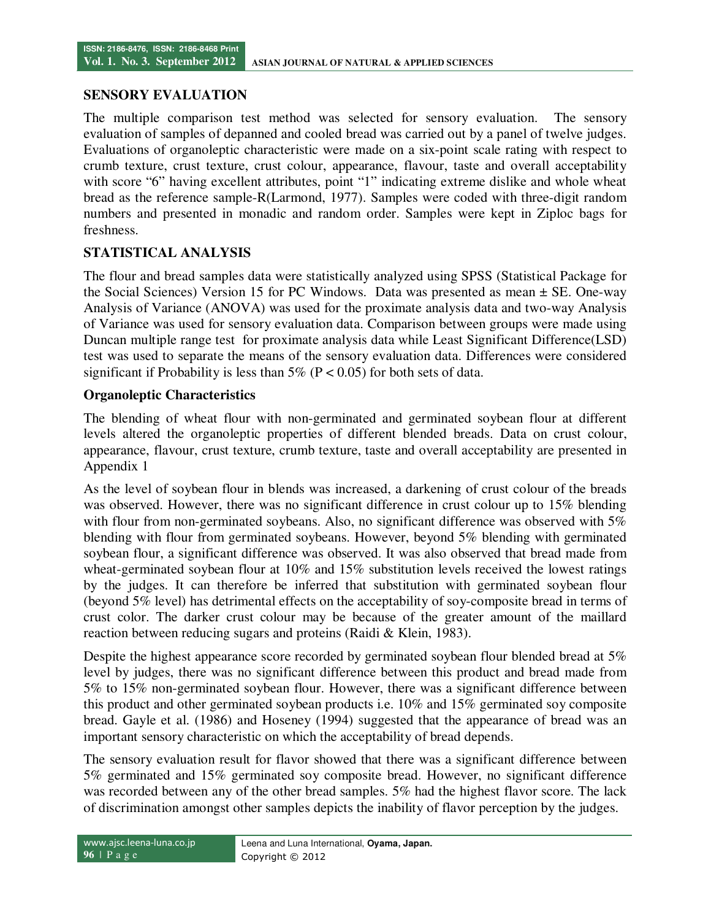#### **SENSORY EVALUATION**

The multiple comparison test method was selected for sensory evaluation. The sensory evaluation of samples of depanned and cooled bread was carried out by a panel of twelve judges. Evaluations of organoleptic characteristic were made on a six-point scale rating with respect to crumb texture, crust texture, crust colour, appearance, flavour, taste and overall acceptability with score "6" having excellent attributes, point "1" indicating extreme dislike and whole wheat bread as the reference sample-R(Larmond, 1977). Samples were coded with three-digit random numbers and presented in monadic and random order. Samples were kept in Ziploc bags for freshness.

### **STATISTICAL ANALYSIS**

The flour and bread samples data were statistically analyzed using SPSS (Statistical Package for the Social Sciences) Version 15 for PC Windows. Data was presented as mean  $\pm$  SE. One-way Analysis of Variance (ANOVA) was used for the proximate analysis data and two-way Analysis of Variance was used for sensory evaluation data. Comparison between groups were made using Duncan multiple range test for proximate analysis data while Least Significant Difference(LSD) test was used to separate the means of the sensory evaluation data. Differences were considered significant if Probability is less than  $5\%$  (P < 0.05) for both sets of data.

### **Organoleptic Characteristics**

The blending of wheat flour with non-germinated and germinated soybean flour at different levels altered the organoleptic properties of different blended breads. Data on crust colour, appearance, flavour, crust texture, crumb texture, taste and overall acceptability are presented in Appendix 1

As the level of soybean flour in blends was increased, a darkening of crust colour of the breads was observed. However, there was no significant difference in crust colour up to 15% blending with flour from non-germinated soybeans. Also, no significant difference was observed with  $5\%$ blending with flour from germinated soybeans. However, beyond 5% blending with germinated soybean flour, a significant difference was observed. It was also observed that bread made from wheat-germinated soybean flour at 10% and 15% substitution levels received the lowest ratings by the judges. It can therefore be inferred that substitution with germinated soybean flour (beyond 5% level) has detrimental effects on the acceptability of soy-composite bread in terms of crust color. The darker crust colour may be because of the greater amount of the maillard reaction between reducing sugars and proteins (Raidi & Klein, 1983).

Despite the highest appearance score recorded by germinated soybean flour blended bread at 5% level by judges, there was no significant difference between this product and bread made from 5% to 15% non-germinated soybean flour. However, there was a significant difference between this product and other germinated soybean products i.e. 10% and 15% germinated soy composite bread. Gayle et al. (1986) and Hoseney (1994) suggested that the appearance of bread was an important sensory characteristic on which the acceptability of bread depends.

The sensory evaluation result for flavor showed that there was a significant difference between 5% germinated and 15% germinated soy composite bread. However, no significant difference was recorded between any of the other bread samples. 5% had the highest flavor score. The lack of discrimination amongst other samples depicts the inability of flavor perception by the judges.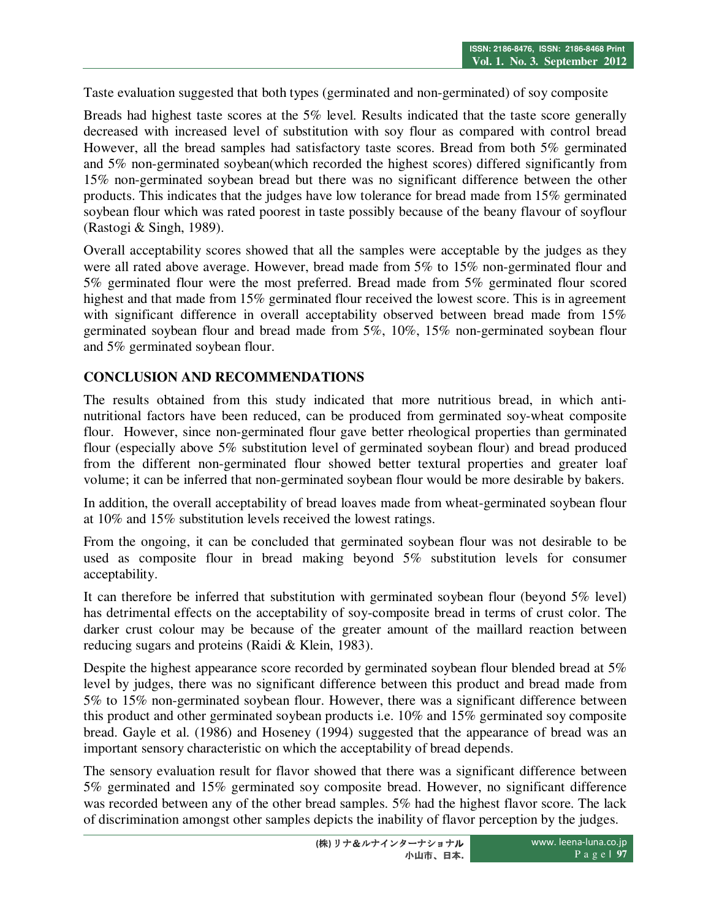Taste evaluation suggested that both types (germinated and non-germinated) of soy composite

Breads had highest taste scores at the 5% level. Results indicated that the taste score generally decreased with increased level of substitution with soy flour as compared with control bread However, all the bread samples had satisfactory taste scores. Bread from both 5% germinated and 5% non-germinated soybean(which recorded the highest scores) differed significantly from 15% non-germinated soybean bread but there was no significant difference between the other products. This indicates that the judges have low tolerance for bread made from 15% germinated soybean flour which was rated poorest in taste possibly because of the beany flavour of soyflour (Rastogi & Singh, 1989).

Overall acceptability scores showed that all the samples were acceptable by the judges as they were all rated above average. However, bread made from 5% to 15% non-germinated flour and 5% germinated flour were the most preferred. Bread made from 5% germinated flour scored highest and that made from 15% germinated flour received the lowest score. This is in agreement with significant difference in overall acceptability observed between bread made from 15% germinated soybean flour and bread made from 5%, 10%, 15% non-germinated soybean flour and 5% germinated soybean flour.

# **CONCLUSION AND RECOMMENDATIONS**

The results obtained from this study indicated that more nutritious bread, in which antinutritional factors have been reduced, can be produced from germinated soy-wheat composite flour. However, since non-germinated flour gave better rheological properties than germinated flour (especially above 5% substitution level of germinated soybean flour) and bread produced from the different non-germinated flour showed better textural properties and greater loaf volume; it can be inferred that non-germinated soybean flour would be more desirable by bakers.

In addition, the overall acceptability of bread loaves made from wheat-germinated soybean flour at 10% and 15% substitution levels received the lowest ratings.

From the ongoing, it can be concluded that germinated soybean flour was not desirable to be used as composite flour in bread making beyond 5% substitution levels for consumer acceptability.

It can therefore be inferred that substitution with germinated soybean flour (beyond 5% level) has detrimental effects on the acceptability of soy-composite bread in terms of crust color. The darker crust colour may be because of the greater amount of the maillard reaction between reducing sugars and proteins (Raidi & Klein, 1983).

Despite the highest appearance score recorded by germinated soybean flour blended bread at 5% level by judges, there was no significant difference between this product and bread made from 5% to 15% non-germinated soybean flour. However, there was a significant difference between this product and other germinated soybean products i.e. 10% and 15% germinated soy composite bread. Gayle et al. (1986) and Hoseney (1994) suggested that the appearance of bread was an important sensory characteristic on which the acceptability of bread depends.

The sensory evaluation result for flavor showed that there was a significant difference between 5% germinated and 15% germinated soy composite bread. However, no significant difference was recorded between any of the other bread samples. 5% had the highest flavor score. The lack of discrimination amongst other samples depicts the inability of flavor perception by the judges.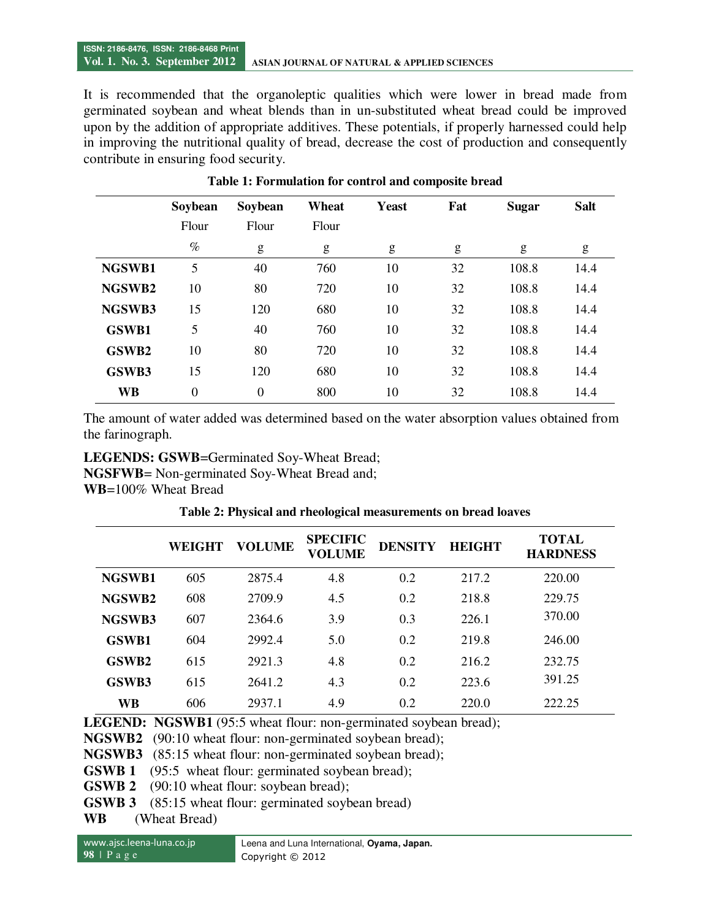It is recommended that the organoleptic qualities which were lower in bread made from germinated soybean and wheat blends than in un-substituted wheat bread could be improved upon by the addition of appropriate additives. These potentials, if properly harnessed could help in improving the nutritional quality of bread, decrease the cost of production and consequently contribute in ensuring food security.

|              | Soybean        | Soybean          | Wheat | <b>Yeast</b> | Fat | <b>Sugar</b> | <b>Salt</b> |
|--------------|----------------|------------------|-------|--------------|-----|--------------|-------------|
|              | Flour          | Flour            | Flour |              |     |              |             |
|              | $\%$           | g                | g     | g            | g   | g            | g           |
| NGSWB1       | 5              | 40               | 760   | 10           | 32  | 108.8        | 14.4        |
| NGSWB2       | 10             | 80               | 720   | 10           | 32  | 108.8        | 14.4        |
| NGSWB3       | 15             | 120              | 680   | 10           | 32  | 108.8        | 14.4        |
| <b>GSWB1</b> | 5              | 40               | 760   | 10           | 32  | 108.8        | 14.4        |
| GSWB2        | 10             | 80               | 720   | 10           | 32  | 108.8        | 14.4        |
| GSWB3        | 15             | 120              | 680   | 10           | 32  | 108.8        | 14.4        |
| WB           | $\overline{0}$ | $\boldsymbol{0}$ | 800   | 10           | 32  | 108.8        | 14.4        |

**Table 1: Formulation for control and composite bread** 

The amount of water added was determined based on the water absorption values obtained from the farinograph.

**LEGENDS: GSWB**=Germinated Soy-Wheat Bread; **NGSFWB**= Non-germinated Soy-Wheat Bread and; **WB**=100% Wheat Bread

| Table 2: Physical and rheological measurements on bread loaves |  |  |
|----------------------------------------------------------------|--|--|
|                                                                |  |  |

|                   | <b>WEIGHT</b> | <b>VOLUME</b> | <b>SPECIFIC</b><br>VOLUME | <b>DENSITY</b> | <b>HEIGHT</b> | <b>TOTAL</b><br><b>HARDNESS</b> |
|-------------------|---------------|---------------|---------------------------|----------------|---------------|---------------------------------|
| NGSWB1            | 605           | 2875.4        | 4.8                       | 0.2            | 217.2         | 220.00                          |
| NGSWB2            | 608           | 2709.9        | 4.5                       | 0.2            | 218.8         | 229.75                          |
| NGSWB3            | 607           | 2364.6        | 3.9                       | 0.3            | 226.1         | 370.00                          |
| <b>GSWB1</b>      | 604           | 2992.4        | 5.0                       | 0.2            | 219.8         | 246.00                          |
| GSWB <sub>2</sub> | 615           | 2921.3        | 4.8                       | 0.2            | 216.2         | 232.75                          |
| GSWB3             | 615           | 2641.2        | 4.3                       | 0.2            | 223.6         | 391.25                          |
| WB                | 606           | 2937.1        | 4.9                       | 0.2            | 220.0         | 222.25                          |

**LEGEND:** NGSWB1 (95:5 wheat flour: non-germinated soybean bread);

**NGSWB2** (90:10 wheat flour: non-germinated soybean bread);

**NGSWB3** (85:15 wheat flour: non-germinated soybean bread);

**GSWB 1** (95:5 wheat flour: germinated soybean bread);

**GSWB 2** (90:10 wheat flour: soybean bread);

**GSWB 3** (85:15 wheat flour: germinated soybean bread)

**WB** (Wheat Bread)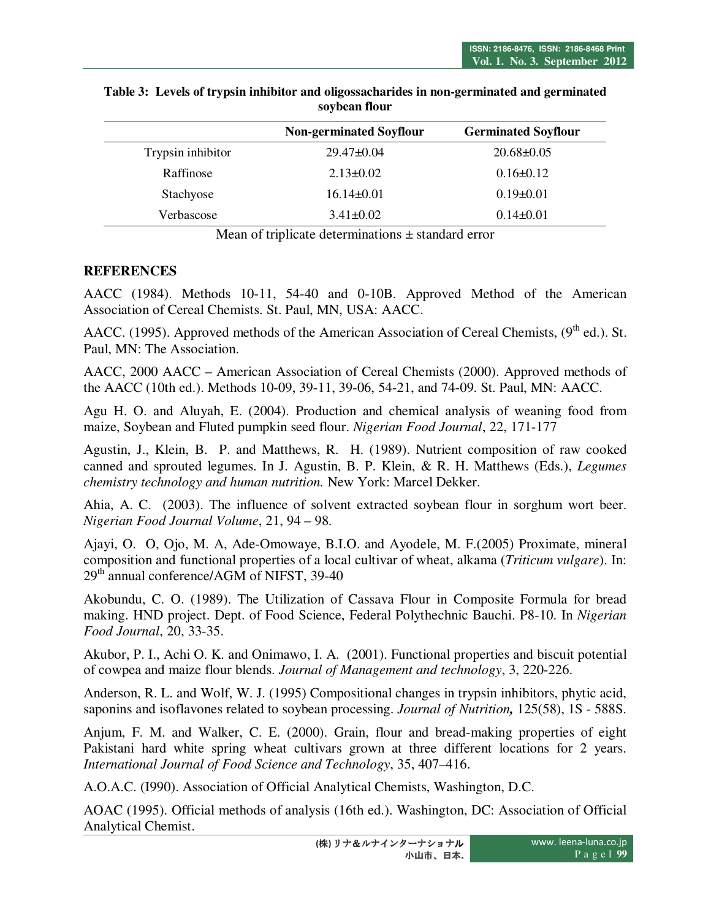|                   | <b>Non-germinated Soyflour</b> | <b>Germinated Soyflour</b> |
|-------------------|--------------------------------|----------------------------|
| Trypsin inhibitor | $29.47 \pm 0.04$               | $20.68 \pm 0.05$           |
| Raffinose         | $2.13 \pm 0.02$                | $0.16 \pm 0.12$            |
| Stachyose         | $16.14 \pm 0.01$               | $0.19 \pm 0.01$            |
| Verbascose        | $3.41 \pm 0.02$                | $0.14\pm0.01$              |
|                   |                                |                            |

**Table 3: Levels of trypsin inhibitor and oligossacharides in non-germinated and germinated soybean flour** 

Mean of triplicate determinations  $\pm$  standard error

#### **REFERENCES**

AACC (1984). Methods 10-11, 54-40 and 0-10B. Approved Method of the American Association of Cereal Chemists. St. Paul, MN, USA: AACC.

AACC. (1995). Approved methods of the American Association of Cereal Chemists, (9<sup>th</sup> ed.). St. Paul, MN: The Association.

AACC, 2000 AACC – American Association of Cereal Chemists (2000). Approved methods of the AACC (10th ed.). Methods 10-09, 39-11, 39-06, 54-21, and 74-09. St. Paul, MN: AACC.

Agu H. O. and Aluyah, E. (2004). Production and chemical analysis of weaning food from maize, Soybean and Fluted pumpkin seed flour. *Nigerian Food Journal*, 22, 171-177

Agustin, J., Klein, B. P. and Matthews, R. H. (1989). Nutrient composition of raw cooked canned and sprouted legumes. In J. Agustin, B. P. Klein, & R. H. Matthews (Eds.), *Legumes chemistry technology and human nutrition.* New York: Marcel Dekker.

Ahia, A. C. (2003). The influence of solvent extracted soybean flour in sorghum wort beer. *Nigerian Food Journal Volume*, 21, 94 – 98.

Ajayi, O. O, Ojo, M. A, Ade-Omowaye, B.I.O. and Ayodele, M. F.(2005) Proximate, mineral composition and functional properties of a local cultivar of wheat, alkama (*Triticum vulgare*). In: 29<sup>th</sup> annual conference/AGM of NIFST, 39-40

Akobundu, C. O. (1989). The Utilization of Cassava Flour in Composite Formula for bread making. HND project. Dept. of Food Science, Federal Polythechnic Bauchi. P8-10. In *Nigerian Food Journal*, 20, 33-35.

Akubor, P. I., Achi O. K. and Onimawo, I. A. (2001). Functional properties and biscuit potential of cowpea and maize flour blends. *Journal of Management and technology*, 3, 220-226.

Anderson, R. L. and Wolf, W. J. (1995) Compositional changes in trypsin inhibitors, phytic acid, saponins and isoflavones related to soybean processing. *Journal of Nutrition,* 125(58), 1S - 588S.

Anjum, F. M. and Walker, C. E. (2000). Grain, flour and bread-making properties of eight Pakistani hard white spring wheat cultivars grown at three different locations for 2 years. *International Journal of Food Science and Technology*, 35, 407–416.

A.O.A.C. (I990). Association of Official Analytical Chemists, Washington, D.C.

AOAC (1995). Official methods of analysis (16th ed.). Washington, DC: Association of Official Analytical Chemist.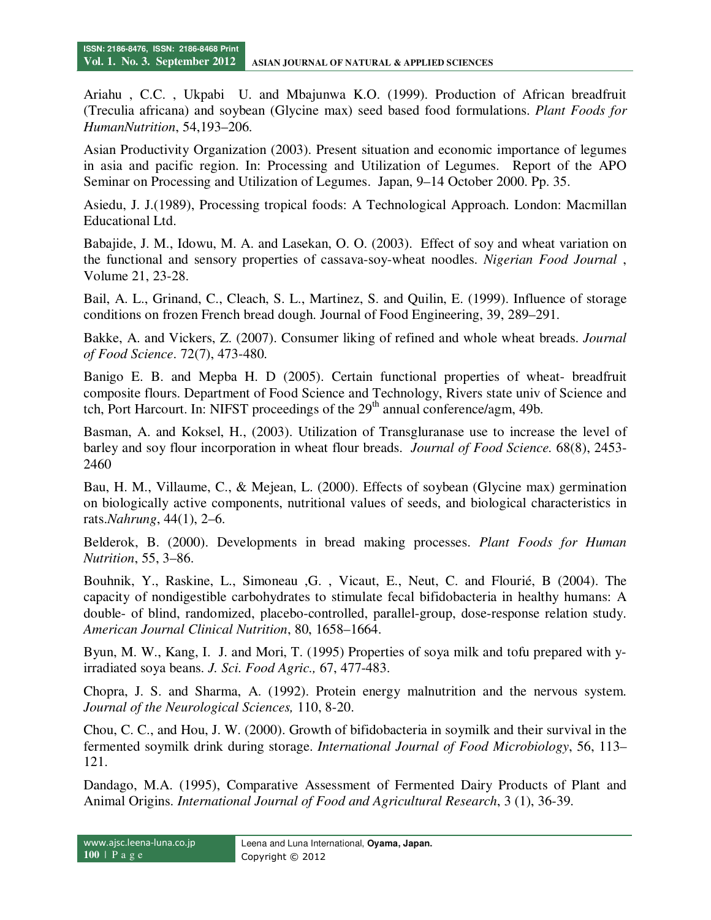Ariahu , C.C. , Ukpabi U. and Mbajunwa K.O. (1999). Production of African breadfruit (Treculia africana) and soybean (Glycine max) seed based food formulations. *Plant Foods for HumanNutrition*, 54,193–206.

Asian Productivity Organization (2003). Present situation and economic importance of legumes in asia and pacific region. In: Processing and Utilization of Legumes. Report of the APO Seminar on Processing and Utilization of Legumes. Japan, 9–14 October 2000. Pp. 35.

Asiedu, J. J.(1989), Processing tropical foods: A Technological Approach. London: Macmillan Educational Ltd.

Babajide, J. M., Idowu, M. A. and Lasekan, O. O. (2003). Effect of soy and wheat variation on the functional and sensory properties of cassava-soy-wheat noodles. *Nigerian Food Journal* , Volume 21, 23-28.

Bail, A. L., Grinand, C., Cleach, S. L., Martinez, S. and Quilin, E. (1999). Influence of storage conditions on frozen French bread dough. Journal of Food Engineering, 39, 289–291.

Bakke, A. and Vickers, Z. (2007). Consumer liking of refined and whole wheat breads. *Journal of Food Science*. 72(7), 473-480.

Banigo E. B. and Mepba H. D (2005). Certain functional properties of wheat- breadfruit composite flours. Department of Food Science and Technology, Rivers state univ of Science and tch, Port Harcourt. In: NIFST proceedings of the  $29<sup>th</sup>$  annual conference/agm, 49b.

Basman, A. and Koksel, H., (2003). Utilization of Transgluranase use to increase the level of barley and soy flour incorporation in wheat flour breads. *Journal of Food Science.* 68(8), 2453- 2460

Bau, H. M., Villaume, C., & Mejean, L. (2000). Effects of soybean (Glycine max) germination on biologically active components, nutritional values of seeds, and biological characteristics in rats.*Nahrung*, 44(1), 2–6.

Belderok, B. (2000). Developments in bread making processes. *Plant Foods for Human Nutrition*, 55, 3–86.

Bouhnik, Y., Raskine, L., Simoneau ,G. , Vicaut, E., Neut, C. and Flourié, B (2004). The capacity of nondigestible carbohydrates to stimulate fecal bifidobacteria in healthy humans: A double- of blind, randomized, placebo-controlled, parallel-group, dose-response relation study. *American Journal Clinical Nutrition*, 80, 1658–1664.

Byun, M. W., Kang, I. J. and Mori, T. (1995) Properties of soya milk and tofu prepared with yirradiated soya beans. *J. Sci. Food Agric.,* 67, 477-483.

Chopra, J. S. and Sharma, A. (1992). Protein energy malnutrition and the nervous system. *Journal of the Neurological Sciences,* 110, 8-20.

Chou, C. C., and Hou, J. W. (2000). Growth of bifidobacteria in soymilk and their survival in the fermented soymilk drink during storage. *International Journal of Food Microbiology*, 56, 113– 121.

Dandago, M.A. (1995), Comparative Assessment of Fermented Dairy Products of Plant and Animal Origins. *International Journal of Food and Agricultural Research*, 3 (1), 36-39.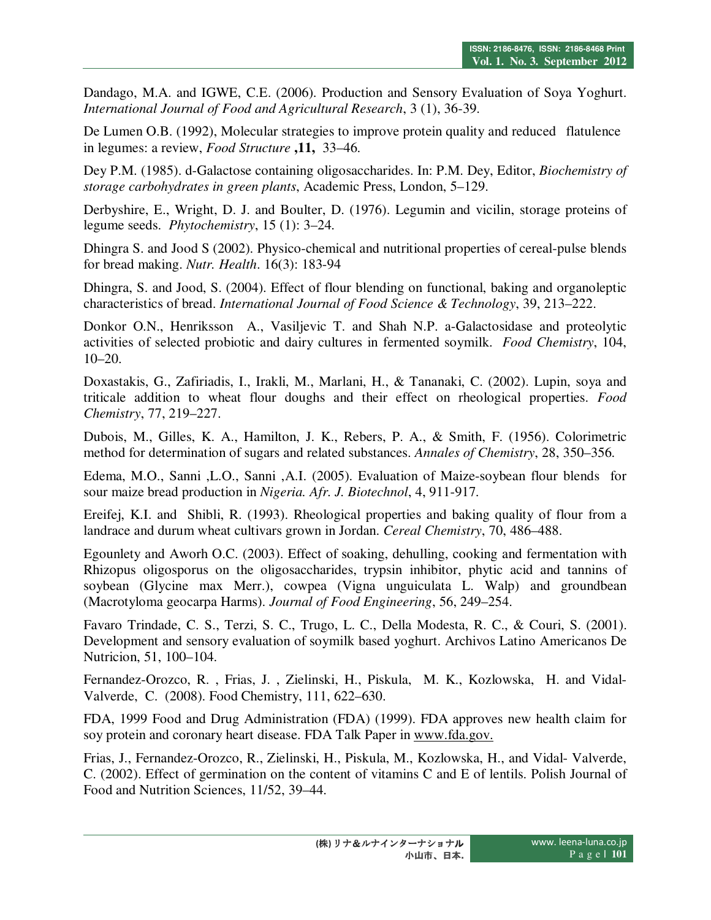Dandago, M.A. and IGWE, C.E. (2006). Production and Sensory Evaluation of Soya Yoghurt. *International Journal of Food and Agricultural Research*, 3 (1), 36-39.

De Lumen O.B. (1992), Molecular strategies to improve protein quality and reduced flatulence in legumes: a review, *Food Structure* **,11,** 33–46.

Dey P.M. (1985). d-Galactose containing oligosaccharides. In: P.M. Dey, Editor, *Biochemistry of storage carbohydrates in green plants*, Academic Press, London, 5–129.

Derbyshire, E., Wright, D. J. and Boulter, D. (1976). Legumin and vicilin, storage proteins of legume seeds. *Phytochemistry*, 15 (1): 3–24.

Dhingra S. and Jood S (2002). Physico-chemical and nutritional properties of cereal-pulse blends for bread making. *Nutr. Health*. 16(3): 183-94

Dhingra, S. and Jood, S. (2004). Effect of flour blending on functional, baking and organoleptic characteristics of bread. *International Journal of Food Science & Technology*, 39, 213–222.

Donkor O.N., Henriksson A., Vasiljevic T. and Shah N.P. a-Galactosidase and proteolytic activities of selected probiotic and dairy cultures in fermented soymilk. *Food Chemistry*, 104, 10–20.

Doxastakis, G., Zafiriadis, I., Irakli, M., Marlani, H., & Tananaki, C. (2002). Lupin, soya and triticale addition to wheat flour doughs and their effect on rheological properties. *Food Chemistry*, 77, 219–227.

Dubois, M., Gilles, K. A., Hamilton, J. K., Rebers, P. A., & Smith, F. (1956). Colorimetric method for determination of sugars and related substances. *Annales of Chemistry*, 28, 350–356.

Edema, M.O., Sanni ,L.O., Sanni ,A.I. (2005). Evaluation of Maize-soybean flour blends for sour maize bread production in *Nigeria. Afr. J. Biotechnol*, 4, 911-917.

Ereifej, K.I. and Shibli, R. (1993). Rheological properties and baking quality of flour from a landrace and durum wheat cultivars grown in Jordan. *Cereal Chemistry*, 70, 486–488.

Egounlety and Aworh O.C. (2003). Effect of soaking, dehulling, cooking and fermentation with Rhizopus oligosporus on the oligosaccharides, trypsin inhibitor, phytic acid and tannins of soybean (Glycine max Merr.), cowpea (Vigna unguiculata L. Walp) and groundbean (Macrotyloma geocarpa Harms). *Journal of Food Engineering*, 56, 249–254.

Favaro Trindade, C. S., Terzi, S. C., Trugo, L. C., Della Modesta, R. C., & Couri, S. (2001). Development and sensory evaluation of soymilk based yoghurt. Archivos Latino Americanos De Nutricion, 51, 100–104.

Fernandez-Orozco, R. , Frias, J. , Zielinski, H., Piskula, M. K., Kozlowska, H. and Vidal-Valverde, C. (2008). Food Chemistry, 111, 622–630.

FDA, 1999 Food and Drug Administration (FDA) (1999). FDA approves new health claim for soy protein and coronary heart disease. FDA Talk Paper in www.fda.gov.

Frias, J., Fernandez-Orozco, R., Zielinski, H., Piskula, M., Kozlowska, H., and Vidal- Valverde, C. (2002). Effect of germination on the content of vitamins C and E of lentils. Polish Journal of Food and Nutrition Sciences, 11/52, 39–44.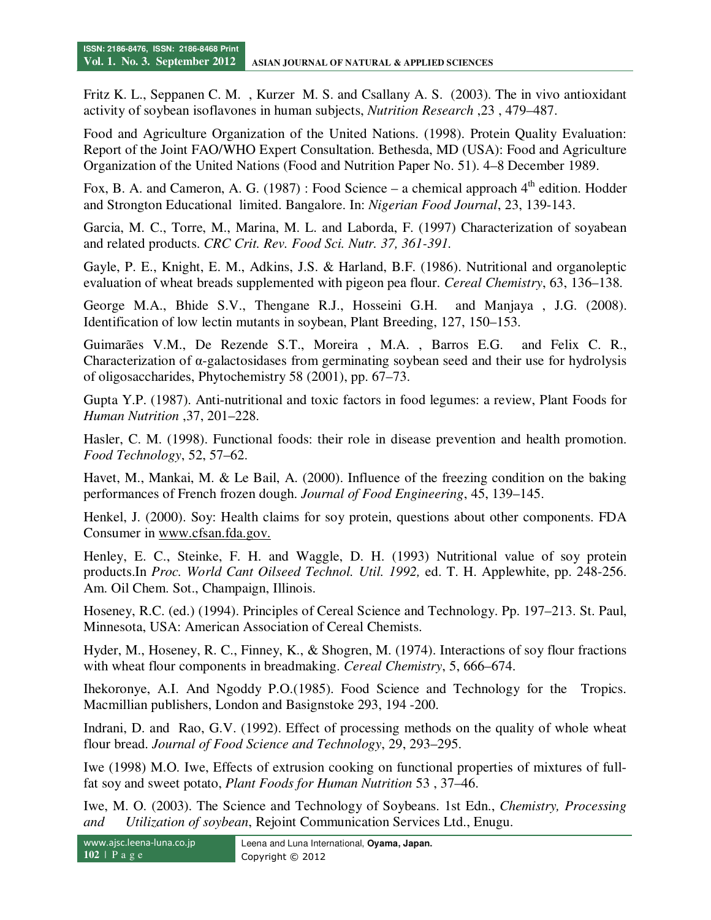Fritz K. L., Seppanen C. M. , Kurzer M. S. and Csallany A. S. (2003). The in vivo antioxidant activity of soybean isoflavones in human subjects, *Nutrition Research* ,23 , 479–487.

Food and Agriculture Organization of the United Nations. (1998). Protein Quality Evaluation: Report of the Joint FAO/WHO Expert Consultation. Bethesda, MD (USA): Food and Agriculture Organization of the United Nations (Food and Nutrition Paper No. 51). 4–8 December 1989.

Fox, B. A. and Cameron, A. G. (1987) : Food Science – a chemical approach  $4<sup>th</sup>$  edition. Hodder and Strongton Educational limited. Bangalore. In: *Nigerian Food Journal*, 23, 139-143.

Garcia, M. C., Torre, M., Marina, M. L. and Laborda, F. (1997) Characterization of soyabean and related products. *CRC Crit. Rev. Food Sci. Nutr. 37, 361-391.*

Gayle, P. E., Knight, E. M., Adkins, J.S. & Harland, B.F. (1986). Nutritional and organoleptic evaluation of wheat breads supplemented with pigeon pea flour. *Cereal Chemistry*, 63, 136–138.

George M.A., Bhide S.V., Thengane R.J., Hosseini G.H. and Manjaya , J.G. (2008). Identification of low lectin mutants in soybean, Plant Breeding, 127, 150–153.

Guimarães V.M., De Rezende S.T., Moreira , M.A. , Barros E.G. and Felix C. R., Characterization of  $\alpha$ -galactosidases from germinating soybean seed and their use for hydrolysis of oligosaccharides, Phytochemistry 58 (2001), pp. 67–73.

Gupta Y.P. (1987). Anti-nutritional and toxic factors in food legumes: a review, Plant Foods for *Human Nutrition* ,37, 201–228.

Hasler, C. M. (1998). Functional foods: their role in disease prevention and health promotion. *Food Technology*, 52, 57–62.

Havet, M., Mankai, M. & Le Bail, A. (2000). Influence of the freezing condition on the baking performances of French frozen dough. *Journal of Food Engineering*, 45, 139–145.

Henkel, J. (2000). Soy: Health claims for soy protein, questions about other components. FDA Consumer in www.cfsan.fda.gov.

Henley, E. C., Steinke, F. H. and Waggle, D. H. (1993) Nutritional value of soy protein products.In *Proc. World Cant Oilseed Technol. Util. 1992,* ed. T. H. Applewhite, pp. 248-256. Am. Oil Chem. Sot., Champaign, Illinois.

Hoseney, R.C. (ed.) (1994). Principles of Cereal Science and Technology. Pp. 197–213. St. Paul, Minnesota, USA: American Association of Cereal Chemists.

Hyder, M., Hoseney, R. C., Finney, K., & Shogren, M. (1974). Interactions of soy flour fractions with wheat flour components in breadmaking. *Cereal Chemistry*, 5, 666–674.

Ihekoronye, A.I. And Ngoddy P.O.(1985). Food Science and Technology for the Tropics. Macmillian publishers, London and Basignstoke 293, 194 -200.

Indrani, D. and Rao, G.V. (1992). Effect of processing methods on the quality of whole wheat flour bread. *Journal of Food Science and Technology*, 29, 293–295.

Iwe (1998) M.O. Iwe, Effects of extrusion cooking on functional properties of mixtures of fullfat soy and sweet potato, *Plant Foods for Human Nutrition* 53 , 37–46.

Iwe, M. O. (2003). The Science and Technology of Soybeans. 1st Edn., *Chemistry, Processing and Utilization of soybean*, Rejoint Communication Services Ltd., Enugu.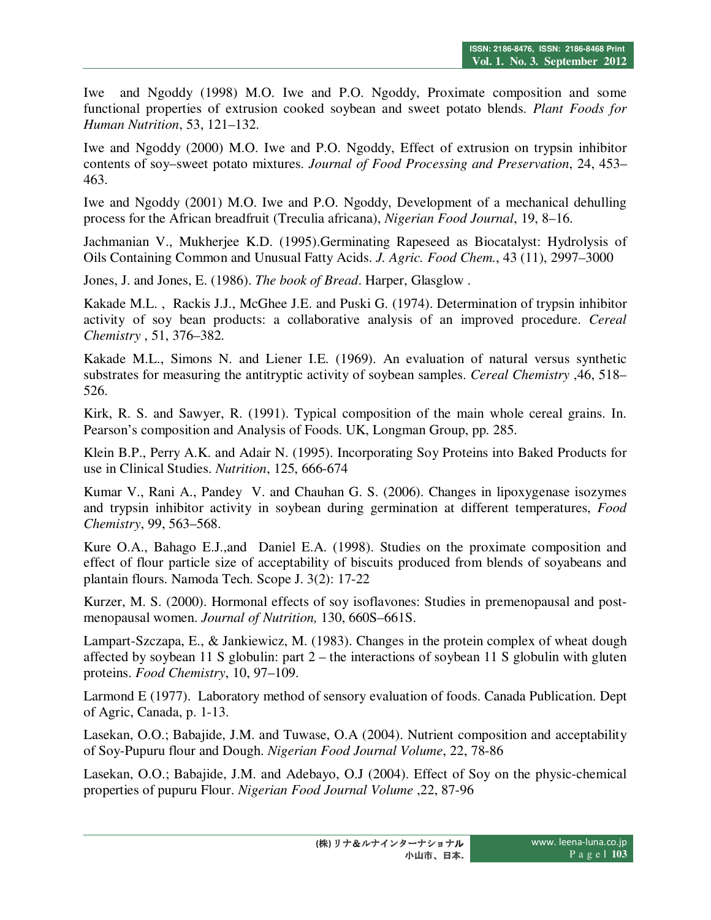Iwe and Ngoddy (1998) M.O. Iwe and P.O. Ngoddy, Proximate composition and some functional properties of extrusion cooked soybean and sweet potato blends. *Plant Foods for Human Nutrition*, 53, 121–132.

Iwe and Ngoddy (2000) M.O. Iwe and P.O. Ngoddy, Effect of extrusion on trypsin inhibitor contents of soy–sweet potato mixtures. *Journal of Food Processing and Preservation*, 24, 453– 463.

Iwe and Ngoddy (2001) M.O. Iwe and P.O. Ngoddy, Development of a mechanical dehulling process for the African breadfruit (Treculia africana), *Nigerian Food Journal*, 19, 8–16.

Jachmanian V., Mukherjee K.D. (1995).Germinating Rapeseed as Biocatalyst: Hydrolysis of Oils Containing Common and Unusual Fatty Acids. *J. Agric. Food Chem.*, 43 (11), 2997–3000

Jones, J. and Jones, E. (1986). *The book of Bread*. Harper, Glasglow .

Kakade M.L. , Rackis J.J., McGhee J.E. and Puski G. (1974). Determination of trypsin inhibitor activity of soy bean products: a collaborative analysis of an improved procedure. *Cereal Chemistry* , 51, 376–382.

Kakade M.L., Simons N. and Liener I.E. (1969). An evaluation of natural versus synthetic substrates for measuring the antitryptic activity of soybean samples. *Cereal Chemistry* ,46, 518– 526.

Kirk, R. S. and Sawyer, R. (1991). Typical composition of the main whole cereal grains. In. Pearson's composition and Analysis of Foods. UK, Longman Group, pp. 285.

Klein B.P., Perry A.K. and Adair N. (1995). Incorporating Soy Proteins into Baked Products for use in Clinical Studies. *Nutrition*, 125, 666-674

Kumar V., Rani A., Pandey V. and Chauhan G. S. (2006). Changes in lipoxygenase isozymes and trypsin inhibitor activity in soybean during germination at different temperatures, *Food Chemistry*, 99, 563–568.

Kure O.A., Bahago E.J.,and Daniel E.A. (1998). Studies on the proximate composition and effect of flour particle size of acceptability of biscuits produced from blends of soyabeans and plantain flours. Namoda Tech. Scope J. 3(2): 17-22

Kurzer, M. S. (2000). Hormonal effects of soy isoflavones: Studies in premenopausal and postmenopausal women. *Journal of Nutrition,* 130, 660S–661S.

Lampart-Szczapa, E., & Jankiewicz, M. (1983). Changes in the protein complex of wheat dough affected by soybean 11 S globulin: part 2 – the interactions of soybean 11 S globulin with gluten proteins. *Food Chemistry*, 10, 97–109.

Larmond E (1977). Laboratory method of sensory evaluation of foods. Canada Publication. Dept of Agric, Canada, p. 1-13.

Lasekan, O.O.; Babajide, J.M. and Tuwase, O.A (2004). Nutrient composition and acceptability of Soy-Pupuru flour and Dough. *Nigerian Food Journal Volume*, 22, 78-86

Lasekan, O.O.; Babajide, J.M. and Adebayo, O.J (2004). Effect of Soy on the physic-chemical properties of pupuru Flour. *Nigerian Food Journal Volume* ,22, 87-96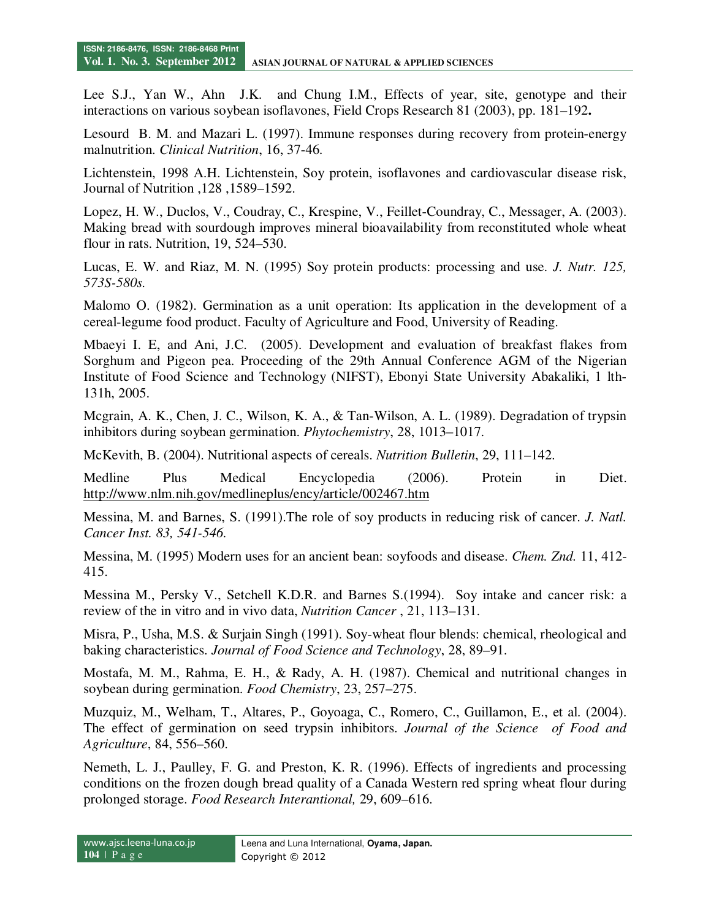Lee S.J., Yan W., Ahn J.K. and Chung I.M., Effects of year, site, genotype and their interactions on various soybean isoflavones, Field Crops Research 81 (2003), pp. 181–192**.**

Lesourd B. M. and Mazari L. (1997). Immune responses during recovery from protein-energy malnutrition. *Clinical Nutrition*, 16, 37-46.

Lichtenstein, 1998 A.H. Lichtenstein, Soy protein, isoflavones and cardiovascular disease risk, Journal of Nutrition ,128 ,1589–1592.

Lopez, H. W., Duclos, V., Coudray, C., Krespine, V., Feillet-Coundray, C., Messager, A. (2003). Making bread with sourdough improves mineral bioavailability from reconstituted whole wheat flour in rats. Nutrition, 19, 524–530.

Lucas, E. W. and Riaz, M. N. (1995) Soy protein products: processing and use. *J. Nutr. 125, 573S-580s.* 

Malomo O. (1982). Germination as a unit operation: Its application in the development of a cereal-legume food product. Faculty of Agriculture and Food, University of Reading.

Mbaeyi I. E, and Ani, J.C. (2005). Development and evaluation of breakfast flakes from Sorghum and Pigeon pea. Proceeding of the 29th Annual Conference AGM of the Nigerian Institute of Food Science and Technology (NIFST), Ebonyi State University Abakaliki, 1 lth-131h, 2005.

Mcgrain, A. K., Chen, J. C., Wilson, K. A., & Tan-Wilson, A. L. (1989). Degradation of trypsin inhibitors during soybean germination. *Phytochemistry*, 28, 1013–1017.

McKevith, B. (2004). Nutritional aspects of cereals. *Nutrition Bulletin*, 29, 111–142.

Medline Plus Medical Encyclopedia (2006). Protein in Diet. http://www.nlm.nih.gov/medlineplus/ency/article/002467.htm

Messina, M. and Barnes, S. (1991).The role of soy products in reducing risk of cancer. *J. Natl. Cancer Inst. 83, 541-546.* 

Messina, M. (1995) Modern uses for an ancient bean: soyfoods and disease. *Chem. Znd.* 11, 412- 415.

Messina M., Persky V., Setchell K.D.R. and Barnes S.(1994). Soy intake and cancer risk: a review of the in vitro and in vivo data, *Nutrition Cancer* , 21, 113–131.

Misra, P., Usha, M.S. & Surjain Singh (1991). Soy-wheat flour blends: chemical, rheological and baking characteristics. *Journal of Food Science and Technology*, 28, 89–91.

Mostafa, M. M., Rahma, E. H., & Rady, A. H. (1987). Chemical and nutritional changes in soybean during germination. *Food Chemistry*, 23, 257–275.

Muzquiz, M., Welham, T., Altares, P., Goyoaga, C., Romero, C., Guillamon, E., et al. (2004). The effect of germination on seed trypsin inhibitors. *Journal of the Science of Food and Agriculture*, 84, 556–560.

Nemeth, L. J., Paulley, F. G. and Preston, K. R. (1996). Effects of ingredients and processing conditions on the frozen dough bread quality of a Canada Western red spring wheat flour during prolonged storage. *Food Research Interantional,* 29, 609–616.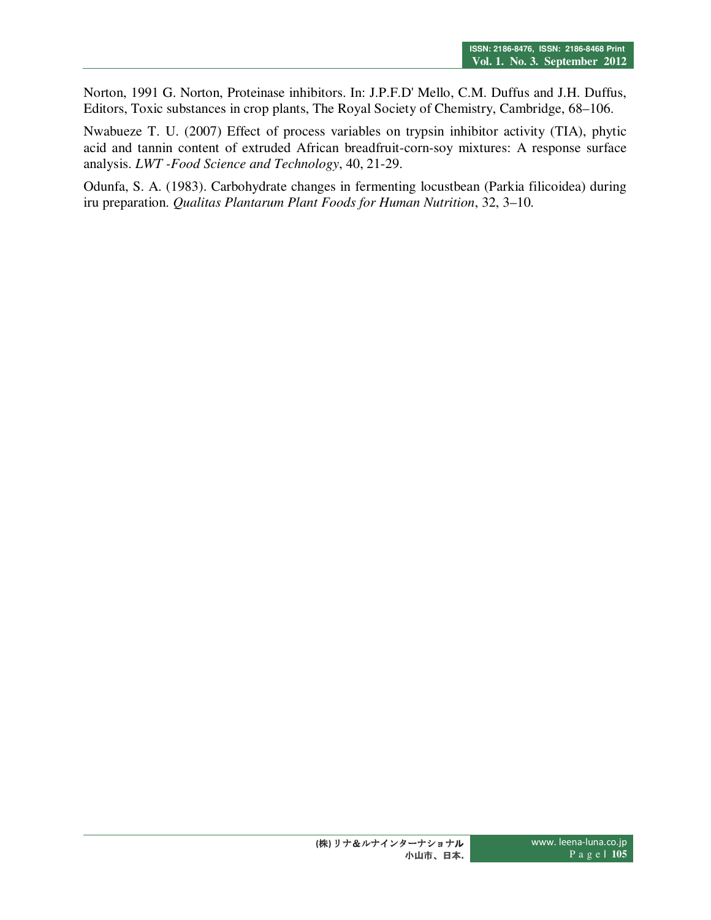Norton, 1991 G. Norton, Proteinase inhibitors. In: J.P.F.D' Mello, C.M. Duffus and J.H. Duffus, Editors, Toxic substances in crop plants, The Royal Society of Chemistry, Cambridge, 68–106.

Nwabueze T. U. (2007) Effect of process variables on trypsin inhibitor activity (TIA), phytic acid and tannin content of extruded African breadfruit-corn-soy mixtures: A response surface analysis. *LWT -Food Science and Technology*, 40, 21-29.

Odunfa, S. A. (1983). Carbohydrate changes in fermenting locustbean (Parkia filicoidea) during iru preparation. *Qualitas Plantarum Plant Foods for Human Nutrition*, 32, 3–10.